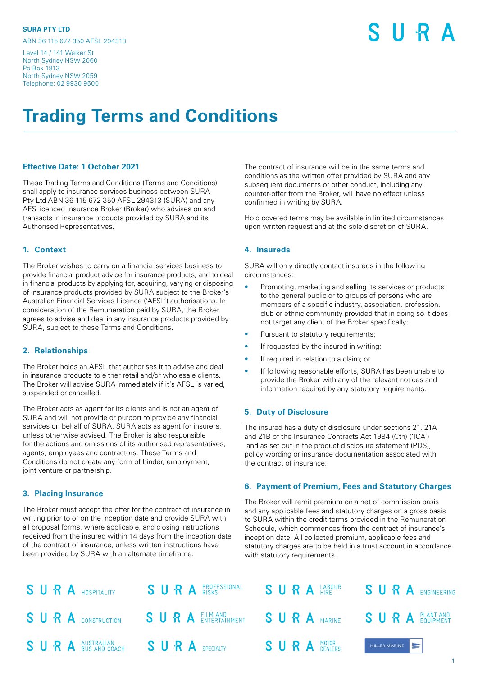ABN 36 115 672 350 AFSL 294313

#### Level 14 / 141 Walker St North Sydney NSW 2060 Po Box 1813 North Sydney NSW 2059 Telephone: 02 9930 9500

S II R A

# **Trading Terms and Conditions**

# **Effective Date: 1 October 2021**

These Trading Terms and Conditions (Terms and Conditions) shall apply to insurance services business between SURA Pty Ltd ABN 36 115 672 350 AFSL 294313 (SURA) and any AFS licenced Insurance Broker (Broker) who advises on and transacts in insurance products provided by SURA and its Authorised Representatives.

#### **1. Context**

The Broker wishes to carry on a financial services business to provide financial product advice for insurance products, and to deal in financial products by applying for, acquiring, varying or disposing of insurance products provided by SURA subject to the Broker's Australian Financial Services Licence ('AFSL') authorisations. In consideration of the Remuneration paid by SURA, the Broker agrees to advise and deal in any insurance products provided by SURA, subject to these Terms and Conditions.

#### **2. Relationships**

The Broker holds an AFSL that authorises it to advise and deal in insurance products to either retail and/or wholesale clients. The Broker will advise SURA immediately if it's AFSL is varied, suspended or cancelled.

The Broker acts as agent for its clients and is not an agent of SURA and will not provide or purport to provide any financial services on behalf of SURA. SURA acts as agent for insurers, unless otherwise advised. The Broker is also responsible for the actions and omissions of its authorised representatives, agents, employees and contractors. These Terms and Conditions do not create any form of binder, employment, joint venture or partnership.

#### **3. Placing Insurance**

The Broker must accept the offer for the contract of insurance in writing prior to or on the inception date and provide SURA with all proposal forms, where applicable, and closing instructions received from the insured within 14 days from the inception date of the contract of insurance, unless written instructions have been provided by SURA with an alternate timeframe.

The contract of insurance will be in the same terms and conditions as the written offer provided by SURA and any subsequent documents or other conduct, including any counter-offer from the Broker, will have no effect unless confirmed in writing by SURA.

Hold covered terms may be available in limited circumstances upon written request and at the sole discretion of SURA.

#### **4. Insureds**

SURA will only directly contact insureds in the following circumstances:

- Promoting, marketing and selling its services or products to the general public or to groups of persons who are members of a specific industry, association, profession, club or ethnic community provided that in doing so it does not target any client of the Broker specifically;
- Pursuant to statutory requirements;
- If requested by the insured in writing;
- If required in relation to a claim; or
- If following reasonable efforts, SURA has been unable to provide the Broker with any of the relevant notices and information required by any statutory requirements.

#### **5. Duty of Disclosure**

The insured has a duty of disclosure under sections 21, 21A and 21B of the Insurance Contracts Act 1984 (Cth) ('ICA') and as set out in the product disclosure statement (PDS), policy wording or insurance documentation associated with the contract of insurance.

#### **6. Payment of Premium, Fees and Statutory Charges**

The Broker will remit premium on a net of commission basis and any applicable fees and statutory charges on a gross basis to SURA within the credit terms provided in the Remuneration Schedule, which commences from the contract of insurance's inception date. All collected premium, applicable fees and statutory charges are to be held in a trust account in accordance with statutory requirements.

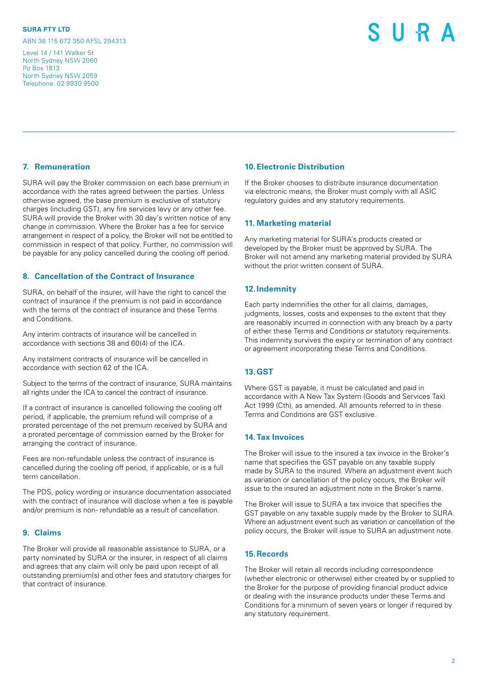ABN 36 115 672 350 AFSL 294313

Level 14 / 141 Walker St North Sydney NSW 2060 Po Box 1813 North Sydney NSW 2059 Telephone: 02 9930 9500

# S II R

## **7. Remuneration**

SURA will pay the Broker commission on each base premium in accordance with the rates agreed between the parties. Unless otherwise agreed, the base premium is exclusive of statutory charges (including GST), any fire services levy or any other fee. SURA will provide the Broker with 30 day's written notice of any change in commission. Where the Broker has a fee for service arrangement in respect of a policy, the Broker will not be entitled to commission in respect of that policy. Further, no commission will be payable for any policy cancelled during the cooling off period.

# **8. Cancellation of the Contract of Insurance**

SURA, on behalf of the insurer, will have the right to cancel the contract of insurance if the premium is not paid in accordance with the terms of the contract of insurance and these Terms and Conditions.

Any interim contracts of insurance will be cancelled in accordance with sections 38 and 60(4) of the ICA.

Any instalment contracts of insurance will be cancelled in accordance with section 62 of the ICA.

Subject to the terms of the contract of insurance, SURA maintains all rights under the ICA to cancel the contract of insurance.

If a contract of insurance is cancelled following the cooling off period, if applicable, the premium refund will comprise of a prorated percentage of the net premium received by SURA and a prorated percentage of commission earned by the Broker for arranging the contract of insurance.

Fees are non-refundable unless the contract of insurance is cancelled during the cooling off period, if applicable, or is a full term cancellation.

The PDS, policy wording or insurance documentation associated with the contract of insurance will disclose when a fee is payable and/or premium is non- refundable as a result of cancellation.

# **9. Claims**

The Broker will provide all reasonable assistance to SURA, or a party nominated by SURA or the insurer, in respect of all claims and agrees that any claim will only be paid upon receipt of all outstanding premium(s) and other fees and statutory charges for that contract of insurance.

### **10.Electronic Distribution**

If the Broker chooses to distribute insurance documentation via electronic means, the Broker must comply with all ASIC regulatory guides and any statutory requirements.

# **11. Marketing material**

Any marketing material for SURA's products created or developed by the Broker must be approved by SURA. The Broker will not amend any marketing material provided by SURA without the prior written consent of SURA.

#### **12.Indemnity**

Each party indemnifies the other for all claims, damages, judgments, losses, costs and expenses to the extent that they are reasonably incurred in connection with any breach by a party of either these Terms and Conditions or statutory requirements. This indemnity survives the expiry or termination of any contract or agreement incorporating these Terms and Conditions.

#### **13.GST**

Where GST is payable, it must be calculated and paid in accordance with A New Tax System (Goods and Services Tax) Act 1999 (Cth), as amended. All amounts referred to in these Terms and Conditions are GST exclusive.

# **14.Tax Invoices**

The Broker will issue to the insured a tax invoice in the Broker's name that specifies the GST payable on any taxable supply made by SURA to the insured. Where an adjustment event such as variation or cancellation of the policy occurs, the Broker will issue to the insured an adjustment note in the Broker's name.

The Broker will issue to SURA a tax invoice that specifies the GST payable on any taxable supply made by the Broker to SURA. Where an adjustment event such as variation or cancellation of the policy occurs, the Broker will issue to SURA an adjustment note.

#### **15.Records**

The Broker will retain all records including correspondence (whether electronic or otherwise) either created by or supplied to the Broker for the purpose of providing financial product advice or dealing with the insurance products under these Terms and Conditions for a minimum of seven years or longer if required by any statutory requirement.